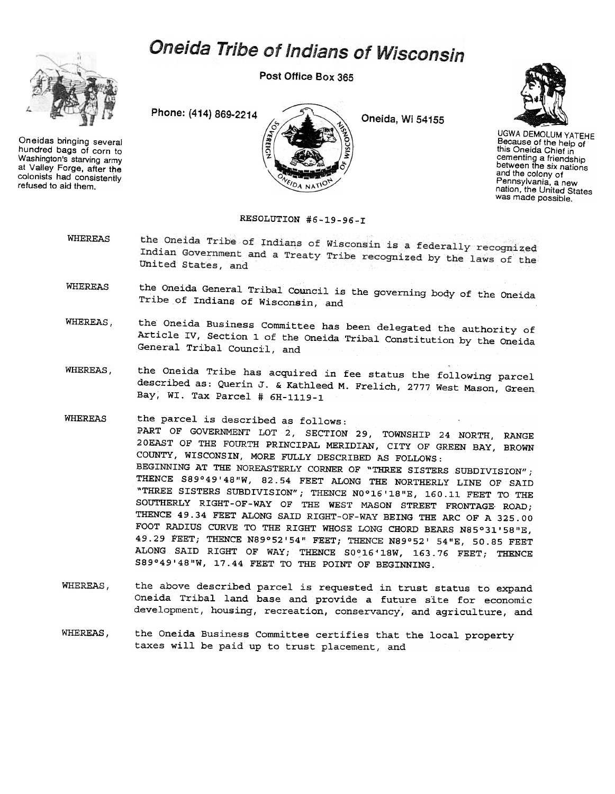## Oneida Tribe of Indians of Wisconsin



Oneidas bringing several hundred bags of corn to Washington's starving army at Valley Forge, after the colonists had consistenily refused to aid them.

Post Office Box 365

DA NAT

Phone: (414) 869-2214

Oneida, Wi 54155



UGWA DEMOLUMYATEHE Because of the help of this Oneida Chief in cementing a friendship between the six nations and the colony of Pennsylvania, a new nation, the United States was made possible.

## RESOLUTION #6-19-96-I

- the Oneida Tribe of Indians of Wisconsin is a federally recognized WHEREAS Indian Government and a Treaty Tribe recognized by the laws of the United States, and
- WHEREAS the Oneida General Tribal Council is the governing body of the Oneida Tribe of Indians of Wisconsin, and
- WHEREAS, the Oneida Business Committee has been delegated the authority of Article IV, Section 1 of the Oneida Tribal Constitution by the Oneida General Tribal Council, and
- WHEREAS, the Oneida Tribe has acquired in fee status the following parcel described as: Querin J. & Kathleed M. Frelich, 2777 West Mason, Green Bay, WI. Tax Parcel # 6H-1119-1
- WHEREAS the parcel is described as follows: PART OF GOVERNMENT LOT 2, SECTION 29, TOWNSHIP 24 NORTH, RANGE 20EAST OF THE FOURTH PRINCIPAL MERIDIAN, CITY OF GREEN BAY, BROWN COUNTY, WISCONSIN, MORE FULLY DESCRIBED AS FOLLOWS: BEGINNING AT THE NOREASTERLY CORNER OF "THREE SISTERS SUBDIVISION"; THENCE S89°49'48"W, 82.54 FEET ALONG THE NORTHERLY LINE OF SAID "THREE SISTERS SUBDIVISION"; THENCE NO°16'18"E, 160.11 FEET TO THE SOUTHERLY RIGHT-OF-WAY OF THE WEST MASON STREET FRONTAGE ROAD; THENCE 49.34 FEET ALONG SAID RIGHT-OF-WAY BEING THE ARC OF A 325.00 FOOT RADIUS CURVE TO THE RIGHT WHOSE LONG CHORD BEARS N85°31' 58 "E, 49.29 FEET; THENCE N89°52'54" FEET; THENCE N89°52' 54"E, 50.85 FEET ALONG SAID RIGHT OF WAY; THENCE S0°16'18W, 163.76 FEET; THENCE S89°49'48"W, 17.44 FEET TO THE POINT OF BEGINNING.
- WHEREAS, the above described parcel is requested in trust status to expand Oneida Tribal land base and provide a future site for economic development, housing, recreation, conservancy, and agriculture, and
- WHEREAS, the Oneida Business Committee certifies that the local property taxes will be paid up to trust placement, and